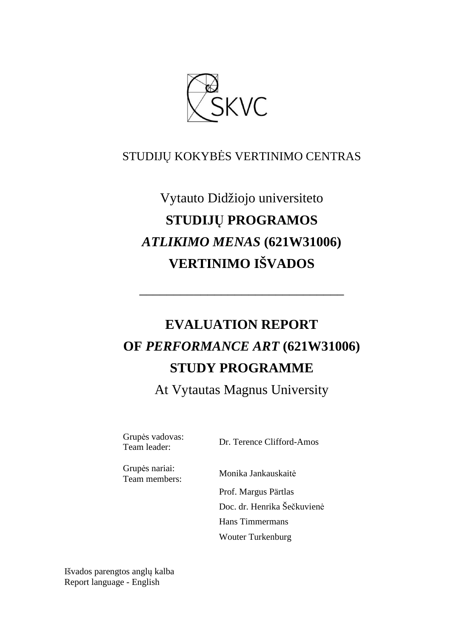

# STUDIJŲ KOKYBĖS VERTINIMO CENTRAS

# Vytauto Didžiojo universiteto **STUDIJŲ PROGRAMOS**  *ATLIKIMO MENAS* **(621W31006) VERTINIMO IŠVADOS**

# **EVALUATION REPORT OF** *PERFORMANCE ART* **(621W31006) STUDY PROGRAMME**

––––––––––––––––––––––––––––––

At Vytautas Magnus University

Grupės vadovas:<br>Team leader:

Dr. Terence Clifford-Amos

Grupės nariai:

Monika Jankauskaitė

 Prof. Margus Pärtlas Doc. dr. Henrika Šečkuvienė Hans Timmermans Wouter Turkenburg

Išvados parengtos anglų kalba Report language - English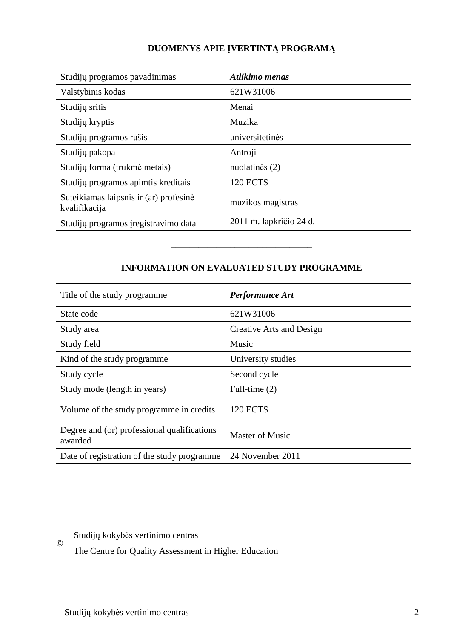# **DUOMENYS APIE ĮVERTINTĄ PROGRAMĄ**

| Studijų programos pavadinimas                           | Atlikimo menas          |
|---------------------------------------------------------|-------------------------|
| Valstybinis kodas                                       | 621W31006               |
| Studijų sritis                                          | Menai                   |
| Studijų kryptis                                         | Muzika                  |
| Studijų programos rūšis                                 | universitetinės         |
| Studijų pakopa                                          | Antroji                 |
| Studijų forma (trukmė metais)                           | nuolatinės (2)          |
| Studijų programos apimtis kreditais                     | <b>120 ECTS</b>         |
| Suteikiamas laipsnis ir (ar) profesinė<br>kvalifikacija | muzikos magistras       |
| Studijų programos įregistravimo data                    | 2011 m. lapkričio 24 d. |

## **INFORMATION ON EVALUATED STUDY PROGRAMME**

–––––––––––––––––––––––––––––––

| Title of the study programme.                          | <b>Performance Art</b>   |
|--------------------------------------------------------|--------------------------|
| State code                                             | 621W31006                |
| Study area                                             | Creative Arts and Design |
| Study field                                            | Music                    |
| Kind of the study programme.                           | University studies       |
| Study cycle                                            | Second cycle             |
| Study mode (length in years)                           | Full-time $(2)$          |
| Volume of the study programme in credits               | 120 ECTS                 |
| Degree and (or) professional qualifications<br>awarded | <b>Master of Music</b>   |
| Date of registration of the study programme            | 24 November 2011         |

Studijų kokybės vertinimo centras

©

The Centre for Quality Assessment in Higher Education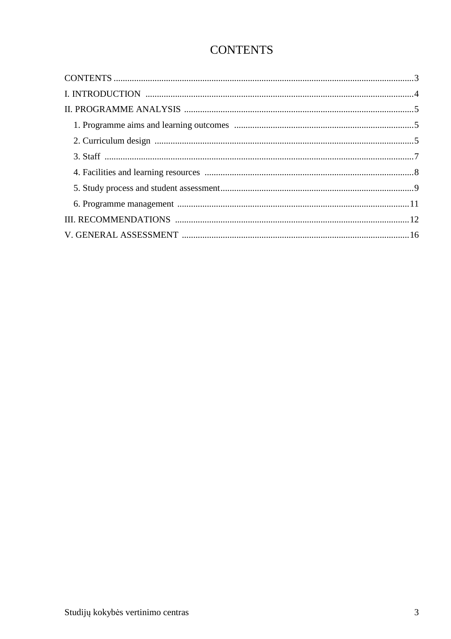# **CONTENTS**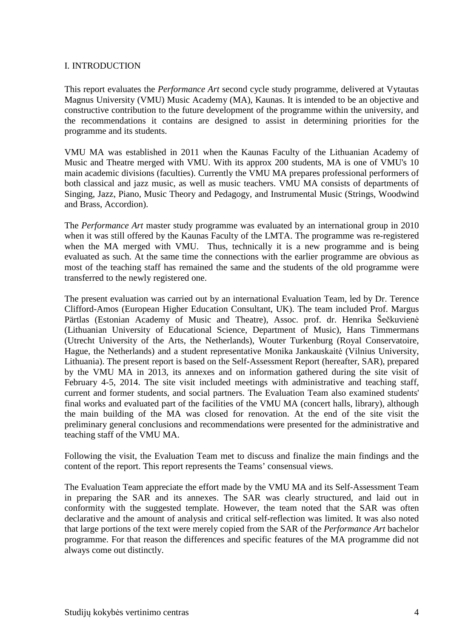#### I. INTRODUCTION

This report evaluates the *Performance Art* second cycle study programme, delivered at Vytautas Magnus University (VMU) Music Academy (MA), Kaunas. It is intended to be an objective and constructive contribution to the future development of the programme within the university, and the recommendations it contains are designed to assist in determining priorities for the programme and its students.

VMU MA was established in 2011 when the Kaunas Faculty of the Lithuanian Academy of Music and Theatre merged with VMU. With its approx 200 students, MA is one of VMU's 10 main academic divisions (faculties). Currently the VMU MA prepares professional performers of both classical and jazz music, as well as music teachers. VMU MA consists of departments of Singing, Jazz, Piano, Music Theory and Pedagogy, and Instrumental Music (Strings, Woodwind and Brass, Accordion).

The *Performance Art* master study programme was evaluated by an international group in 2010 when it was still offered by the Kaunas Faculty of the LMTA. The programme was re-registered when the MA merged with VMU. Thus, technically it is a new programme and is being evaluated as such. At the same time the connections with the earlier programme are obvious as most of the teaching staff has remained the same and the students of the old programme were transferred to the newly registered one.

The present evaluation was carried out by an international Evaluation Team, led by Dr. Terence Clifford-Amos (European Higher Education Consultant, UK). The team included Prof. Margus Pärtlas (Estonian Academy of Music and Theatre), Assoc. prof. dr. Henrika Šečkuvienė (Lithuanian University of Educational Science, Department of Music), Hans Timmermans (Utrecht University of the Arts, the Netherlands), Wouter Turkenburg (Royal Conservatoire, Hague, the Netherlands) and a student representative Monika Jankauskaitė (Vilnius University, Lithuania). The present report is based on the Self-Assessment Report (hereafter, SAR), prepared by the VMU MA in 2013, its annexes and on information gathered during the site visit of February 4-5, 2014. The site visit included meetings with administrative and teaching staff, current and former students, and social partners. The Evaluation Team also examined students' final works and evaluated part of the facilities of the VMU MA (concert halls, library), although the main building of the MA was closed for renovation. At the end of the site visit the preliminary general conclusions and recommendations were presented for the administrative and teaching staff of the VMU MA.

Following the visit, the Evaluation Team met to discuss and finalize the main findings and the content of the report. This report represents the Teams' consensual views.

The Evaluation Team appreciate the effort made by the VMU MA and its Self-Assessment Team in preparing the SAR and its annexes. The SAR was clearly structured, and laid out in conformity with the suggested template. However, the team noted that the SAR was often declarative and the amount of analysis and critical self-reflection was limited. It was also noted that large portions of the text were merely copied from the SAR of the *Performance Art* bachelor programme. For that reason the differences and specific features of the MA programme did not always come out distinctly.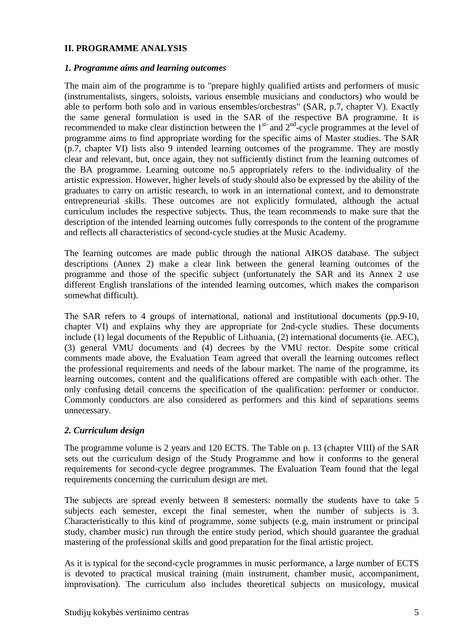#### **II. PROGRAMME ANALYSIS**

#### *1. Programme aims and learning outcomes*

The main aim of the programme is to "prepare highly qualified artists and performers of music (instrumentalists, singers, soloists, various ensemble musicians and conductors) who would be able to perform both solo and in various ensembles/orchestras" (SAR, p.7, chapter V). Exactly the same general formulation is used in the SAR of the respective BA programme. It is recommended to make clear distinction between the  $1<sup>st-</sup>$  and  $2<sup>nd</sup>$ -cycle programmes at the level of programme aims to find appropriate wording for the specific aims of Master studies. The SAR (p.7, chapter VI) lists also 9 intended learning outcomes of the programme. They are mostly clear and relevant, but, once again, they not sufficiently distinct from the learning outcomes of the BA programme. Learning outcome no.5 appropriately refers to the individuality of the artistic expression. However, higher levels of study should also be expressed by the ability of the graduates to carry on artistic research, to work in an international context, and to demonstrate entrepreneurial skills. These outcomes are not explicitly formulated, although the actual curriculum includes the respective subjects. Thus, the team recommends to make sure that the description of the intended learning outcomes fully corresponds to the content of the programme and reflects all characteristics of second-cycle studies at the Music Academy.

The learning outcomes are made public through the national AIKOS database. The subject descriptions (Annex 2) make a clear link between the general learning outcomes of the programme and those of the specific subject (unfortunately the SAR and its Annex 2 use different English translations of the intended learning outcomes, which makes the comparison somewhat difficult).

The SAR refers to 4 groups of international, national and institutional documents (pp.9-10, chapter VI) and explains why they are appropriate for 2nd-cycle studies. These documents include (1) legal documents of the Republic of Lithuania, (2) international documents (ie. AEC), (3) general VMU documents and (4) decrees by the VMU rector. Despite some critical comments made above, the Evaluation Team agreed that overall the learning outcomes reflect the professional requirements and needs of the labour market. The name of the programme, its learning outcomes, content and the qualifications offered are compatible with each other. The only confusing detail concerns the specification of the qualification: performer or conductor. Commonly conductors are also considered as performers and this kind of separations seems unnecessary.

#### *2. Curriculum design*

The programme volume is 2 years and 120 ECTS. The Table on p. 13 (chapter VIII) of the SAR sets out the curriculum design of the Study Programme and how it conforms to the general requirements for second-cycle degree programmes. The Evaluation Team found that the legal requirements concerning the curriculum design are met.

The subjects are spread evenly between 8 semesters: normally the students have to take 5 subjects each semester, except the final semester, when the number of subjects is 3. Characteristically to this kind of programme, some subjects (e.g, main instrument or principal study, chamber music) run through the entire study period, which should guarantee the gradual mastering of the professional skills and good preparation for the final artistic project.

As it is typical for the second-cycle programmes in music performance, a large number of ECTS is devoted to practical musical training (main instrument, chamber music, accompaniment, improvisation). The curriculum also includes theoretical subjects on musicology, musical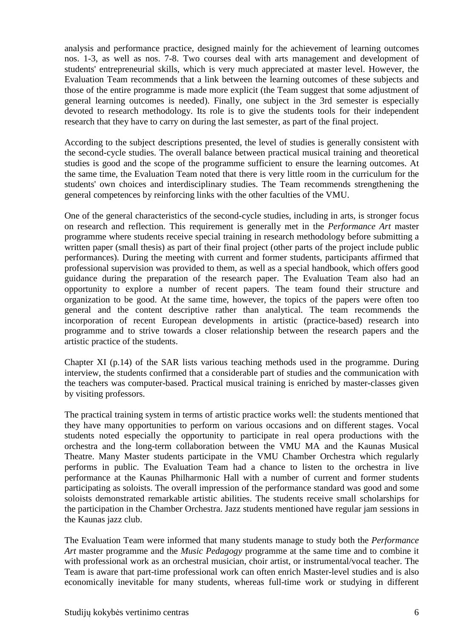analysis and performance practice, designed mainly for the achievement of learning outcomes nos. 1-3, as well as nos. 7-8. Two courses deal with arts management and development of students' entrepreneurial skills, which is very much appreciated at master level. However, the Evaluation Team recommends that a link between the learning outcomes of these subjects and those of the entire programme is made more explicit (the Team suggest that some adjustment of general learning outcomes is needed). Finally, one subject in the 3rd semester is especially devoted to research methodology. Its role is to give the students tools for their independent research that they have to carry on during the last semester, as part of the final project.

According to the subject descriptions presented, the level of studies is generally consistent with the second-cycle studies. The overall balance between practical musical training and theoretical studies is good and the scope of the programme sufficient to ensure the learning outcomes. At the same time, the Evaluation Team noted that there is very little room in the curriculum for the students' own choices and interdisciplinary studies. The Team recommends strengthening the general competences by reinforcing links with the other faculties of the VMU.

One of the general characteristics of the second-cycle studies, including in arts, is stronger focus on research and reflection. This requirement is generally met in the *Performance Art* master programme where students receive special training in research methodology before submitting a written paper (small thesis) as part of their final project (other parts of the project include public performances). During the meeting with current and former students, participants affirmed that professional supervision was provided to them, as well as a special handbook, which offers good guidance during the preparation of the research paper. The Evaluation Team also had an opportunity to explore a number of recent papers. The team found their structure and organization to be good. At the same time, however, the topics of the papers were often too general and the content descriptive rather than analytical. The team recommends the incorporation of recent European developments in artistic (practice-based) research into programme and to strive towards a closer relationship between the research papers and the artistic practice of the students.

Chapter XI (p.14) of the SAR lists various teaching methods used in the programme. During interview, the students confirmed that a considerable part of studies and the communication with the teachers was computer-based. Practical musical training is enriched by master-classes given by visiting professors.

The practical training system in terms of artistic practice works well: the students mentioned that they have many opportunities to perform on various occasions and on different stages. Vocal students noted especially the opportunity to participate in real opera productions with the orchestra and the long-term collaboration between the VMU MA and the Kaunas Musical Theatre. Many Master students participate in the VMU Chamber Orchestra which regularly performs in public. The Evaluation Team had a chance to listen to the orchestra in live performance at the Kaunas Philharmonic Hall with a number of current and former students participating as soloists. The overall impression of the performance standard was good and some soloists demonstrated remarkable artistic abilities. The students receive small scholarships for the participation in the Chamber Orchestra. Jazz students mentioned have regular jam sessions in the Kaunas jazz club.

The Evaluation Team were informed that many students manage to study both the *Performance Art* master programme and the *Music Pedagogy* programme at the same time and to combine it with professional work as an orchestral musician, choir artist, or instrumental/vocal teacher. The Team is aware that part-time professional work can often enrich Master-level studies and is also economically inevitable for many students, whereas full-time work or studying in different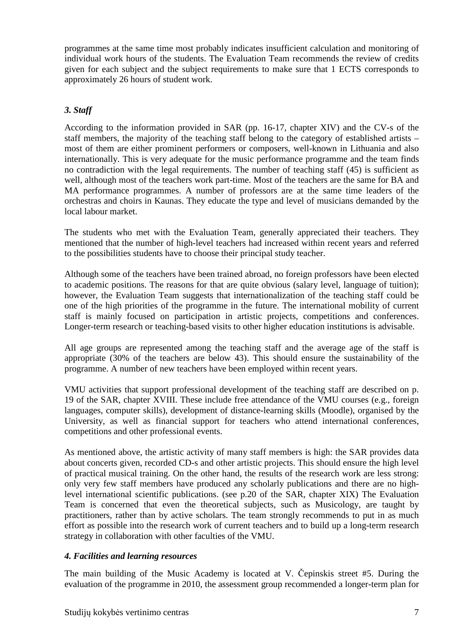programmes at the same time most probably indicates insufficient calculation and monitoring of individual work hours of the students. The Evaluation Team recommends the review of credits given for each subject and the subject requirements to make sure that 1 ECTS corresponds to approximately 26 hours of student work.

## *3. Staff*

According to the information provided in SAR (pp. 16-17, chapter XIV) and the CV-s of the staff members, the majority of the teaching staff belong to the category of established artists – most of them are either prominent performers or composers, well-known in Lithuania and also internationally. This is very adequate for the music performance programme and the team finds no contradiction with the legal requirements. The number of teaching staff (45) is sufficient as well, although most of the teachers work part-time. Most of the teachers are the same for BA and MA performance programmes. A number of professors are at the same time leaders of the orchestras and choirs in Kaunas. They educate the type and level of musicians demanded by the local labour market.

The students who met with the Evaluation Team, generally appreciated their teachers. They mentioned that the number of high-level teachers had increased within recent years and referred to the possibilities students have to choose their principal study teacher.

Although some of the teachers have been trained abroad, no foreign professors have been elected to academic positions. The reasons for that are quite obvious (salary level, language of tuition); however, the Evaluation Team suggests that internationalization of the teaching staff could be one of the high priorities of the programme in the future. The international mobility of current staff is mainly focused on participation in artistic projects, competitions and conferences. Longer-term research or teaching-based visits to other higher education institutions is advisable.

All age groups are represented among the teaching staff and the average age of the staff is appropriate (30% of the teachers are below 43). This should ensure the sustainability of the programme. A number of new teachers have been employed within recent years.

VMU activities that support professional development of the teaching staff are described on p. 19 of the SAR, chapter XVIII. These include free attendance of the VMU courses (e.g., foreign languages, computer skills), development of distance-learning skills (Moodle), organised by the University, as well as financial support for teachers who attend international conferences, competitions and other professional events.

As mentioned above, the artistic activity of many staff members is high: the SAR provides data about concerts given, recorded CD-s and other artistic projects. This should ensure the high level of practical musical training. On the other hand, the results of the research work are less strong: only very few staff members have produced any scholarly publications and there are no highlevel international scientific publications. (see p.20 of the SAR, chapter XIX) The Evaluation Team is concerned that even the theoretical subjects, such as Musicology, are taught by practitioners, rather than by active scholars. The team strongly recommends to put in as much effort as possible into the research work of current teachers and to build up a long-term research strategy in collaboration with other faculties of the VMU.

### *4. Facilities and learning resources*

The main building of the Music Academy is located at V. Čepinskis street #5. During the evaluation of the programme in 2010, the assessment group recommended a longer-term plan for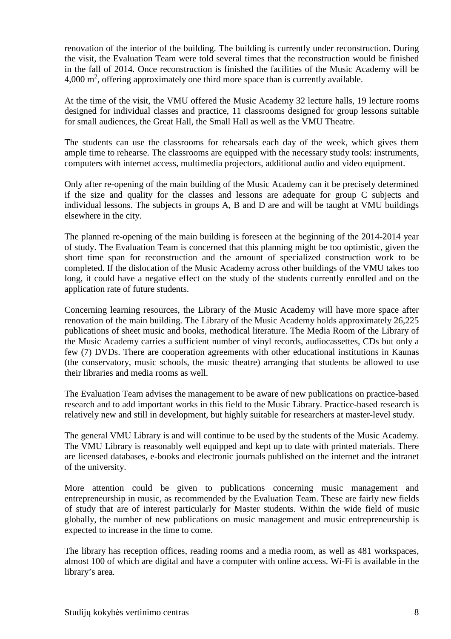renovation of the interior of the building. The building is currently under reconstruction. During the visit, the Evaluation Team were told several times that the reconstruction would be finished in the fall of 2014. Once reconstruction is finished the facilities of the Music Academy will be  $4,000 \text{ m}^2$ , offering approximately one third more space than is currently available.

At the time of the visit, the VMU offered the Music Academy 32 lecture halls, 19 lecture rooms designed for individual classes and practice, 11 classrooms designed for group lessons suitable for small audiences, the Great Hall, the Small Hall as well as the VMU Theatre.

The students can use the classrooms for rehearsals each day of the week, which gives them ample time to rehearse. The classrooms are equipped with the necessary study tools: instruments, computers with internet access, multimedia projectors, additional audio and video equipment.

Only after re-opening of the main building of the Music Academy can it be precisely determined if the size and quality for the classes and lessons are adequate for group C subjects and individual lessons. The subjects in groups A, B and D are and will be taught at VMU buildings elsewhere in the city.

The planned re-opening of the main building is foreseen at the beginning of the 2014-2014 year of study. The Evaluation Team is concerned that this planning might be too optimistic, given the short time span for reconstruction and the amount of specialized construction work to be completed. If the dislocation of the Music Academy across other buildings of the VMU takes too long, it could have a negative effect on the study of the students currently enrolled and on the application rate of future students.

Concerning learning resources, the Library of the Music Academy will have more space after renovation of the main building. The Library of the Music Academy holds approximately 26,225 publications of sheet music and books, methodical literature. The Media Room of the Library of the Music Academy carries a sufficient number of vinyl records, audiocassettes, CDs but only a few (7) DVDs. There are cooperation agreements with other educational institutions in Kaunas (the conservatory, music schools, the music theatre) arranging that students be allowed to use their libraries and media rooms as well.

The Evaluation Team advises the management to be aware of new publications on practice-based research and to add important works in this field to the Music Library. Practice-based research is relatively new and still in development, but highly suitable for researchers at master-level study.

The general VMU Library is and will continue to be used by the students of the Music Academy. The VMU Library is reasonably well equipped and kept up to date with printed materials. There are licensed databases, e-books and electronic journals published on the internet and the intranet of the university.

More attention could be given to publications concerning music management and entrepreneurship in music, as recommended by the Evaluation Team. These are fairly new fields of study that are of interest particularly for Master students. Within the wide field of music globally, the number of new publications on music management and music entrepreneurship is expected to increase in the time to come.

The library has reception offices, reading rooms and a media room, as well as 481 workspaces, almost 100 of which are digital and have a computer with online access. Wi-Fi is available in the library's area.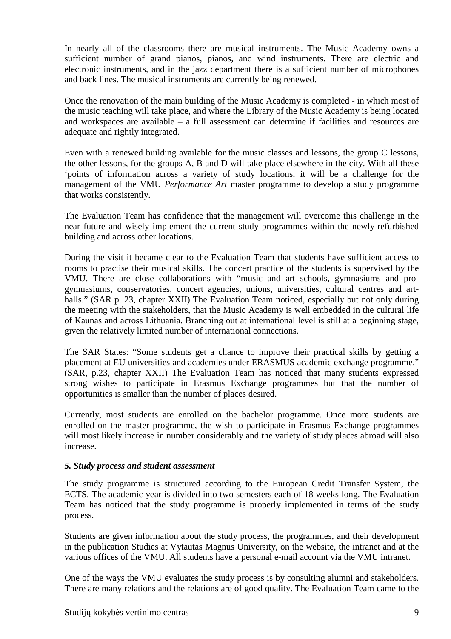In nearly all of the classrooms there are musical instruments. The Music Academy owns a sufficient number of grand pianos, pianos, and wind instruments. There are electric and electronic instruments, and in the jazz department there is a sufficient number of microphones and back lines. The musical instruments are currently being renewed.

Once the renovation of the main building of the Music Academy is completed - in which most of the music teaching will take place, and where the Library of the Music Academy is being located and workspaces are available – a full assessment can determine if facilities and resources are adequate and rightly integrated.

Even with a renewed building available for the music classes and lessons, the group C lessons, the other lessons, for the groups A, B and D will take place elsewhere in the city. With all these 'points of information across a variety of study locations, it will be a challenge for the management of the VMU *Performance Art* master programme to develop a study programme that works consistently.

The Evaluation Team has confidence that the management will overcome this challenge in the near future and wisely implement the current study programmes within the newly-refurbished building and across other locations.

During the visit it became clear to the Evaluation Team that students have sufficient access to rooms to practise their musical skills. The concert practice of the students is supervised by the VMU. There are close collaborations with "music and art schools, gymnasiums and progymnasiums, conservatories, concert agencies, unions, universities, cultural centres and arthalls." (SAR p. 23, chapter XXII) The Evaluation Team noticed, especially but not only during the meeting with the stakeholders, that the Music Academy is well embedded in the cultural life of Kaunas and across Lithuania. Branching out at international level is still at a beginning stage, given the relatively limited number of international connections.

The SAR States: "Some students get a chance to improve their practical skills by getting a placement at EU universities and academies under ERASMUS academic exchange programme." (SAR, p.23, chapter XXII) The Evaluation Team has noticed that many students expressed strong wishes to participate in Erasmus Exchange programmes but that the number of opportunities is smaller than the number of places desired.

Currently, most students are enrolled on the bachelor programme. Once more students are enrolled on the master programme, the wish to participate in Erasmus Exchange programmes will most likely increase in number considerably and the variety of study places abroad will also increase.

### *5. Study process and student assessment*

The study programme is structured according to the European Credit Transfer System, the ECTS. The academic year is divided into two semesters each of 18 weeks long. The Evaluation Team has noticed that the study programme is properly implemented in terms of the study process.

Students are given information about the study process, the programmes, and their development in the publication Studies at Vytautas Magnus University, on the website, the intranet and at the various offices of the VMU. All students have a personal e-mail account via the VMU intranet.

One of the ways the VMU evaluates the study process is by consulting alumni and stakeholders. There are many relations and the relations are of good quality. The Evaluation Team came to the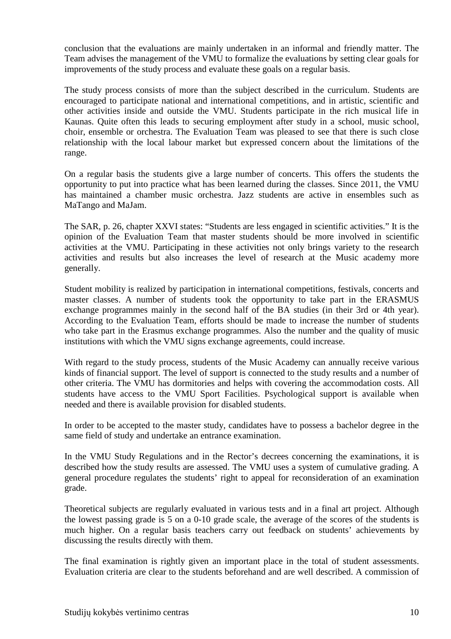conclusion that the evaluations are mainly undertaken in an informal and friendly matter. The Team advises the management of the VMU to formalize the evaluations by setting clear goals for improvements of the study process and evaluate these goals on a regular basis.

The study process consists of more than the subject described in the curriculum. Students are encouraged to participate national and international competitions, and in artistic, scientific and other activities inside and outside the VMU. Students participate in the rich musical life in Kaunas. Quite often this leads to securing employment after study in a school, music school, choir, ensemble or orchestra. The Evaluation Team was pleased to see that there is such close relationship with the local labour market but expressed concern about the limitations of the range.

On a regular basis the students give a large number of concerts. This offers the students the opportunity to put into practice what has been learned during the classes. Since 2011, the VMU has maintained a chamber music orchestra. Jazz students are active in ensembles such as MaTango and MaJam.

The SAR, p. 26, chapter XXVI states: "Students are less engaged in scientific activities." It is the opinion of the Evaluation Team that master students should be more involved in scientific activities at the VMU. Participating in these activities not only brings variety to the research activities and results but also increases the level of research at the Music academy more generally.

Student mobility is realized by participation in international competitions, festivals, concerts and master classes. A number of students took the opportunity to take part in the ERASMUS exchange programmes mainly in the second half of the BA studies (in their 3rd or 4th year). According to the Evaluation Team, efforts should be made to increase the number of students who take part in the Erasmus exchange programmes. Also the number and the quality of music institutions with which the VMU signs exchange agreements, could increase.

With regard to the study process, students of the Music Academy can annually receive various kinds of financial support. The level of support is connected to the study results and a number of other criteria. The VMU has dormitories and helps with covering the accommodation costs. All students have access to the VMU Sport Facilities. Psychological support is available when needed and there is available provision for disabled students.

In order to be accepted to the master study, candidates have to possess a bachelor degree in the same field of study and undertake an entrance examination.

In the VMU Study Regulations and in the Rector's decrees concerning the examinations, it is described how the study results are assessed. The VMU uses a system of cumulative grading. A general procedure regulates the students' right to appeal for reconsideration of an examination grade.

Theoretical subjects are regularly evaluated in various tests and in a final art project. Although the lowest passing grade is 5 on a 0-10 grade scale, the average of the scores of the students is much higher. On a regular basis teachers carry out feedback on students' achievements by discussing the results directly with them.

The final examination is rightly given an important place in the total of student assessments. Evaluation criteria are clear to the students beforehand and are well described. A commission of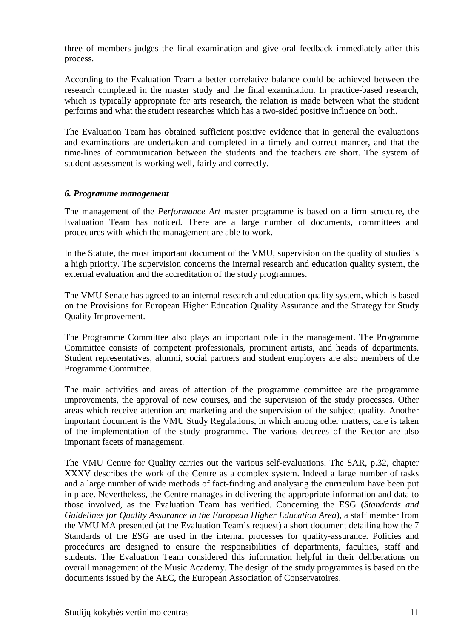three of members judges the final examination and give oral feedback immediately after this process.

According to the Evaluation Team a better correlative balance could be achieved between the research completed in the master study and the final examination. In practice-based research, which is typically appropriate for arts research, the relation is made between what the student performs and what the student researches which has a two-sided positive influence on both.

The Evaluation Team has obtained sufficient positive evidence that in general the evaluations and examinations are undertaken and completed in a timely and correct manner, and that the time-lines of communication between the students and the teachers are short. The system of student assessment is working well, fairly and correctly.

#### *6. Programme management*

The management of the *Performance Art* master programme is based on a firm structure, the Evaluation Team has noticed. There are a large number of documents, committees and procedures with which the management are able to work.

In the Statute, the most important document of the VMU, supervision on the quality of studies is a high priority. The supervision concerns the internal research and education quality system, the external evaluation and the accreditation of the study programmes.

The VMU Senate has agreed to an internal research and education quality system, which is based on the Provisions for European Higher Education Quality Assurance and the Strategy for Study Quality Improvement.

The Programme Committee also plays an important role in the management. The Programme Committee consists of competent professionals, prominent artists, and heads of departments. Student representatives, alumni, social partners and student employers are also members of the Programme Committee.

The main activities and areas of attention of the programme committee are the programme improvements, the approval of new courses, and the supervision of the study processes. Other areas which receive attention are marketing and the supervision of the subject quality. Another important document is the VMU Study Regulations, in which among other matters, care is taken of the implementation of the study programme. The various decrees of the Rector are also important facets of management.

The VMU Centre for Quality carries out the various self-evaluations. The SAR, p.32, chapter XXXV describes the work of the Centre as a complex system. Indeed a large number of tasks and a large number of wide methods of fact-finding and analysing the curriculum have been put in place. Nevertheless, the Centre manages in delivering the appropriate information and data to those involved, as the Evaluation Team has verified. Concerning the ESG (*Standards and Guidelines for Quality Assurance in the European Higher Education Area*), a staff member from the VMU MA presented (at the Evaluation Team's request) a short document detailing how the 7 Standards of the ESG are used in the internal processes for quality-assurance. Policies and procedures are designed to ensure the responsibilities of departments, faculties, staff and students. The Evaluation Team considered this information helpful in their deliberations on overall management of the Music Academy. The design of the study programmes is based on the documents issued by the AEC, the European Association of Conservatoires.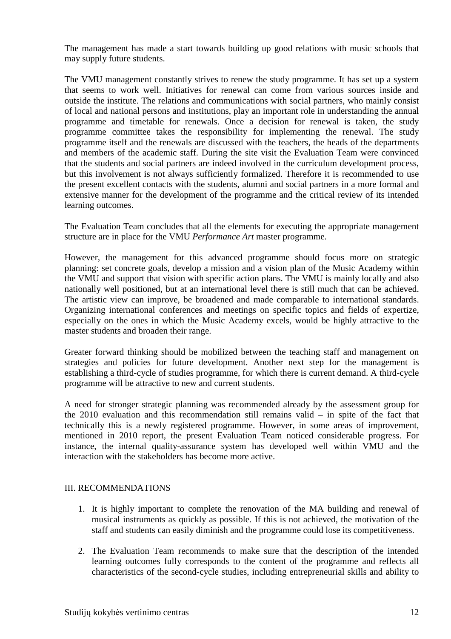The management has made a start towards building up good relations with music schools that may supply future students.

The VMU management constantly strives to renew the study programme. It has set up a system that seems to work well. Initiatives for renewal can come from various sources inside and outside the institute. The relations and communications with social partners, who mainly consist of local and national persons and institutions, play an important role in understanding the annual programme and timetable for renewals. Once a decision for renewal is taken, the study programme committee takes the responsibility for implementing the renewal. The study programme itself and the renewals are discussed with the teachers, the heads of the departments and members of the academic staff. During the site visit the Evaluation Team were convinced that the students and social partners are indeed involved in the curriculum development process, but this involvement is not always sufficiently formalized. Therefore it is recommended to use the present excellent contacts with the students, alumni and social partners in a more formal and extensive manner for the development of the programme and the critical review of its intended learning outcomes.

The Evaluation Team concludes that all the elements for executing the appropriate management structure are in place for the VMU *Performance Art* master programme*.* 

However, the management for this advanced programme should focus more on strategic planning: set concrete goals, develop a mission and a vision plan of the Music Academy within the VMU and support that vision with specific action plans. The VMU is mainly locally and also nationally well positioned, but at an international level there is still much that can be achieved. The artistic view can improve, be broadened and made comparable to international standards. Organizing international conferences and meetings on specific topics and fields of expertize, especially on the ones in which the Music Academy excels, would be highly attractive to the master students and broaden their range.

Greater forward thinking should be mobilized between the teaching staff and management on strategies and policies for future development. Another next step for the management is establishing a third-cycle of studies programme, for which there is current demand. A third-cycle programme will be attractive to new and current students.

A need for stronger strategic planning was recommended already by the assessment group for the 2010 evaluation and this recommendation still remains valid – in spite of the fact that technically this is a newly registered programme. However, in some areas of improvement, mentioned in 2010 report, the present Evaluation Team noticed considerable progress. For instance, the internal quality-assurance system has developed well within VMU and the interaction with the stakeholders has become more active.

#### III. RECOMMENDATIONS

- 1. It is highly important to complete the renovation of the MA building and renewal of musical instruments as quickly as possible. If this is not achieved, the motivation of the staff and students can easily diminish and the programme could lose its competitiveness.
- 2. The Evaluation Team recommends to make sure that the description of the intended learning outcomes fully corresponds to the content of the programme and reflects all characteristics of the second-cycle studies, including entrepreneurial skills and ability to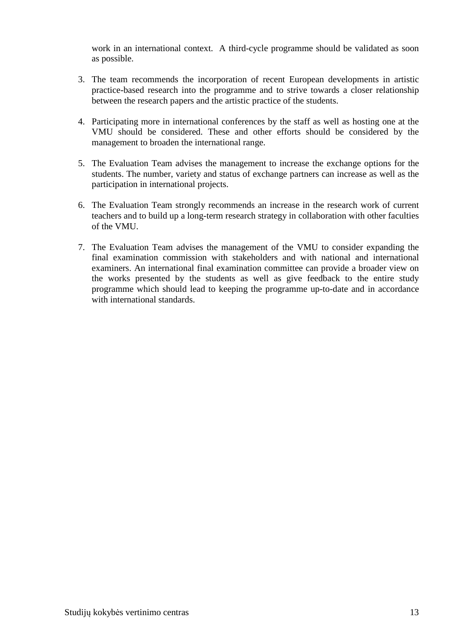work in an international context. A third-cycle programme should be validated as soon as possible.

- 3. The team recommends the incorporation of recent European developments in artistic practice-based research into the programme and to strive towards a closer relationship between the research papers and the artistic practice of the students.
- 4. Participating more in international conferences by the staff as well as hosting one at the VMU should be considered. These and other efforts should be considered by the management to broaden the international range.
- 5. The Evaluation Team advises the management to increase the exchange options for the students. The number, variety and status of exchange partners can increase as well as the participation in international projects.
- 6. The Evaluation Team strongly recommends an increase in the research work of current teachers and to build up a long-term research strategy in collaboration with other faculties of the VMU.
- 7. The Evaluation Team advises the management of the VMU to consider expanding the final examination commission with stakeholders and with national and international examiners. An international final examination committee can provide a broader view on the works presented by the students as well as give feedback to the entire study programme which should lead to keeping the programme up-to-date and in accordance with international standards.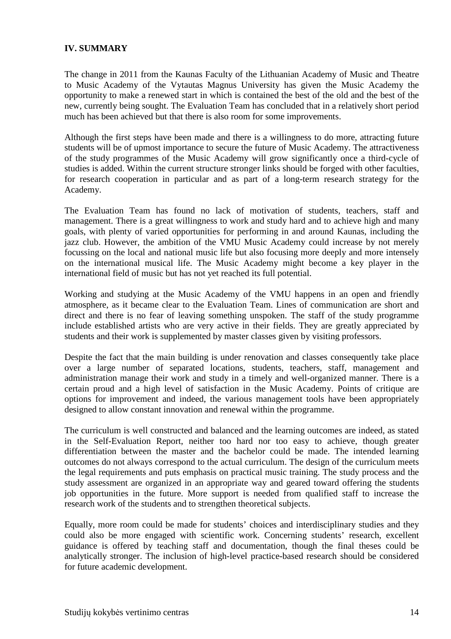### **IV. SUMMARY**

The change in 2011 from the Kaunas Faculty of the Lithuanian Academy of Music and Theatre to Music Academy of the Vytautas Magnus University has given the Music Academy the opportunity to make a renewed start in which is contained the best of the old and the best of the new, currently being sought. The Evaluation Team has concluded that in a relatively short period much has been achieved but that there is also room for some improvements.

Although the first steps have been made and there is a willingness to do more, attracting future students will be of upmost importance to secure the future of Music Academy. The attractiveness of the study programmes of the Music Academy will grow significantly once a third-cycle of studies is added. Within the current structure stronger links should be forged with other faculties, for research cooperation in particular and as part of a long-term research strategy for the Academy.

The Evaluation Team has found no lack of motivation of students, teachers, staff and management. There is a great willingness to work and study hard and to achieve high and many goals, with plenty of varied opportunities for performing in and around Kaunas, including the jazz club. However, the ambition of the VMU Music Academy could increase by not merely focussing on the local and national music life but also focusing more deeply and more intensely on the international musical life. The Music Academy might become a key player in the international field of music but has not yet reached its full potential.

Working and studying at the Music Academy of the VMU happens in an open and friendly atmosphere, as it became clear to the Evaluation Team. Lines of communication are short and direct and there is no fear of leaving something unspoken. The staff of the study programme include established artists who are very active in their fields. They are greatly appreciated by students and their work is supplemented by master classes given by visiting professors.

Despite the fact that the main building is under renovation and classes consequently take place over a large number of separated locations, students, teachers, staff, management and administration manage their work and study in a timely and well-organized manner. There is a certain proud and a high level of satisfaction in the Music Academy. Points of critique are options for improvement and indeed, the various management tools have been appropriately designed to allow constant innovation and renewal within the programme.

The curriculum is well constructed and balanced and the learning outcomes are indeed, as stated in the Self-Evaluation Report, neither too hard nor too easy to achieve, though greater differentiation between the master and the bachelor could be made. The intended learning outcomes do not always correspond to the actual curriculum. The design of the curriculum meets the legal requirements and puts emphasis on practical music training. The study process and the study assessment are organized in an appropriate way and geared toward offering the students job opportunities in the future. More support is needed from qualified staff to increase the research work of the students and to strengthen theoretical subjects.

Equally, more room could be made for students' choices and interdisciplinary studies and they could also be more engaged with scientific work. Concerning students' research, excellent guidance is offered by teaching staff and documentation, though the final theses could be analytically stronger. The inclusion of high-level practice-based research should be considered for future academic development.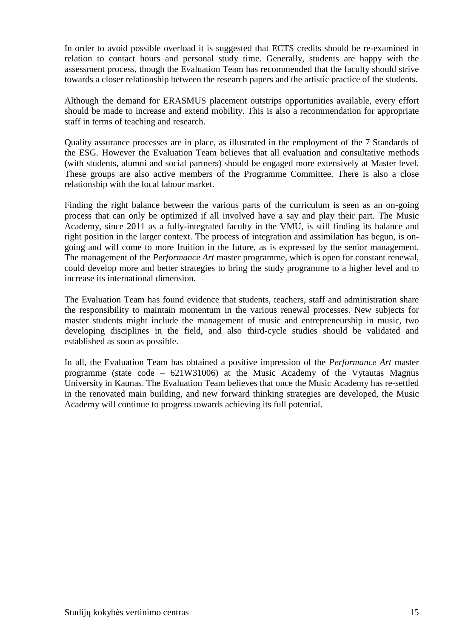In order to avoid possible overload it is suggested that ECTS credits should be re-examined in relation to contact hours and personal study time. Generally, students are happy with the assessment process, though the Evaluation Team has recommended that the faculty should strive towards a closer relationship between the research papers and the artistic practice of the students.

Although the demand for ERASMUS placement outstrips opportunities available, every effort should be made to increase and extend mobility. This is also a recommendation for appropriate staff in terms of teaching and research.

Quality assurance processes are in place, as illustrated in the employment of the 7 Standards of the ESG. However the Evaluation Team believes that all evaluation and consultative methods (with students, alumni and social partners) should be engaged more extensively at Master level. These groups are also active members of the Programme Committee. There is also a close relationship with the local labour market.

Finding the right balance between the various parts of the curriculum is seen as an on-going process that can only be optimized if all involved have a say and play their part. The Music Academy, since 2011 as a fully-integrated faculty in the VMU, is still finding its balance and right position in the larger context. The process of integration and assimilation has begun, is ongoing and will come to more fruition in the future, as is expressed by the senior management. The management of the *Performance Art* master programme, which is open for constant renewal, could develop more and better strategies to bring the study programme to a higher level and to increase its international dimension.

The Evaluation Team has found evidence that students, teachers, staff and administration share the responsibility to maintain momentum in the various renewal processes. New subjects for master students might include the management of music and entrepreneurship in music, two developing disciplines in the field, and also third-cycle studies should be validated and established as soon as possible.

In all, the Evaluation Team has obtained a positive impression of the *Performance Art* master programme (state code – 621W31006) at the Music Academy of the Vytautas Magnus University in Kaunas. The Evaluation Team believes that once the Music Academy has re-settled in the renovated main building, and new forward thinking strategies are developed, the Music Academy will continue to progress towards achieving its full potential.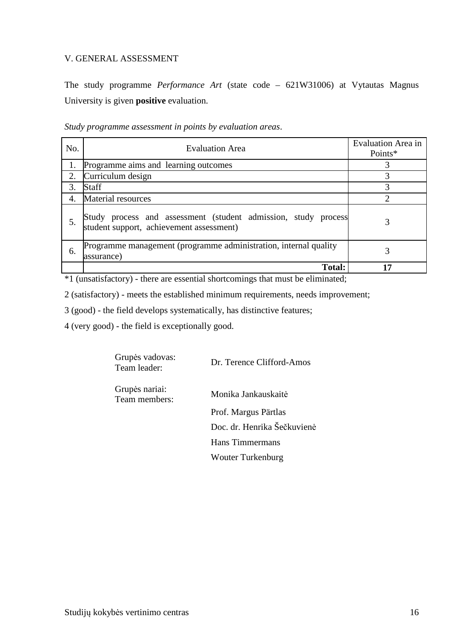### V. GENERAL ASSESSMENT

The study programme *Performance Art* (state code – 621W31006) at Vytautas Magnus University is given **positive** evaluation.

*Study programme assessment in points by evaluation areas*.

| No. | <b>Evaluation Area</b>                                                                                     | Evaluation Area in<br>Points* |
|-----|------------------------------------------------------------------------------------------------------------|-------------------------------|
|     | Programme aims and learning outcomes                                                                       |                               |
| 2.  | Curriculum design                                                                                          | 3                             |
| 3.  | Staff                                                                                                      | 3                             |
| 4.  | <b>Material resources</b>                                                                                  | ◠                             |
| 5.  | Study process and assessment (student admission, study process<br>student support, achievement assessment) | 3                             |
| 6.  | Programme management (programme administration, internal quality<br>assurance)                             |                               |
|     | <b>Total:</b>                                                                                              | 17                            |

\*1 (unsatisfactory) - there are essential shortcomings that must be eliminated;

2 (satisfactory) - meets the established minimum requirements, needs improvement;

3 (good) - the field develops systematically, has distinctive features;

4 (very good) - the field is exceptionally good.

| Grupės vadovas:<br>Team leader: | Dr. Terence Clifford-Amos   |
|---------------------------------|-----------------------------|
| Grupės nariai:<br>Team members: | Monika Jankauskaitė         |
|                                 | Prof. Margus Pärtlas        |
|                                 | Doc. dr. Henrika Šečkuvienė |
|                                 | <b>Hans Timmermans</b>      |
|                                 | <b>Wouter Turkenburg</b>    |
|                                 |                             |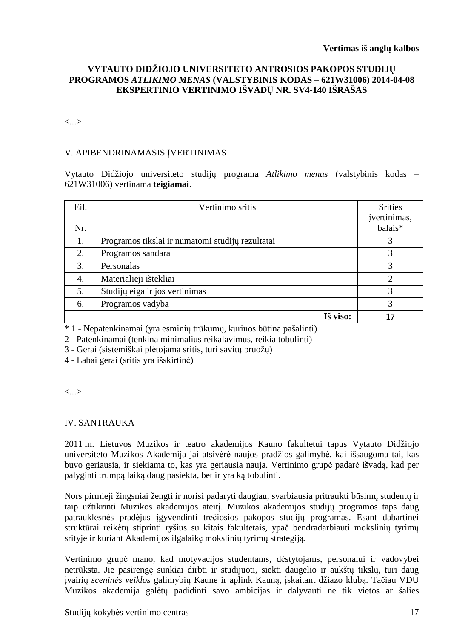### **VYTAUTO DIDŽIOJO UNIVERSITETO ANTROSIOS PAKOPOS STUDIJŲ PROGRAMOS** *ATLIKIMO MENAS* **(VALSTYBINIS KODAS – 621W31006) 2014-04-08 EKSPERTINIO VERTINIMO IŠVADŲ NR. SV4-140 IŠRAŠAS**

<...>

### V. APIBENDRINAMASIS ĮVERTINIMAS

Vytauto Didžiojo universiteto studijų programa *Atlikimo menas* (valstybinis kodas – 621W31006) vertinama **teigiamai**.

| Eil.<br>Nr. | Vertinimo sritis                                 | <b>Srities</b><br>įvertinimas,<br>balais* |
|-------------|--------------------------------------------------|-------------------------------------------|
| 1.          | Programos tikslai ir numatomi studijų rezultatai |                                           |
| 2.          | Programos sandara                                |                                           |
| 3.          | Personalas                                       |                                           |
| 4.          | Materialieji ištekliai                           | ∍                                         |
| 5.          | Studijų eiga ir jos vertinimas                   | 3                                         |
| 6.          | Programos vadyba                                 | 3                                         |
|             | Iš viso:                                         |                                           |

\* 1 - Nepatenkinamai (yra esminių trūkumų, kuriuos būtina pašalinti)

2 - Patenkinamai (tenkina minimalius reikalavimus, reikia tobulinti)

3 - Gerai (sistemiškai plėtojama sritis, turi savitų bruožų)

4 - Labai gerai (sritis yra išskirtinė)

<...>

### IV. SANTRAUKA

2011 m. Lietuvos Muzikos ir teatro akademijos Kauno fakultetui tapus Vytauto Didžiojo universiteto Muzikos Akademija jai atsivėrė naujos pradžios galimybė, kai išsaugoma tai, kas buvo geriausia, ir siekiama to, kas yra geriausia nauja. Vertinimo grupė padarė išvadą, kad per palyginti trumpą laiką daug pasiekta, bet ir yra ką tobulinti.

Nors pirmieji žingsniai žengti ir norisi padaryti daugiau, svarbiausia pritraukti būsimų studentų ir taip užtikrinti Muzikos akademijos ateitį. Muzikos akademijos studijų programos taps daug patrauklesnės pradėjus įgyvendinti trečiosios pakopos studijų programas. Esant dabartinei struktūrai reikėtų stiprinti ryšius su kitais fakultetais, ypač bendradarbiauti mokslinių tyrimų srityje ir kuriant Akademijos ilgalaikę mokslinių tyrimų strategiją.

Vertinimo grupė mano, kad motyvacijos studentams, dėstytojams, personalui ir vadovybei netrūksta. Jie pasirengę sunkiai dirbti ir studijuoti, siekti daugelio ir aukštų tikslų, turi daug įvairių *sceninės veiklos* galimybių Kaune ir aplink Kauną, įskaitant džiazo klubą. Tačiau VDU Muzikos akademija galėtų padidinti savo ambicijas ir dalyvauti ne tik vietos ar šalies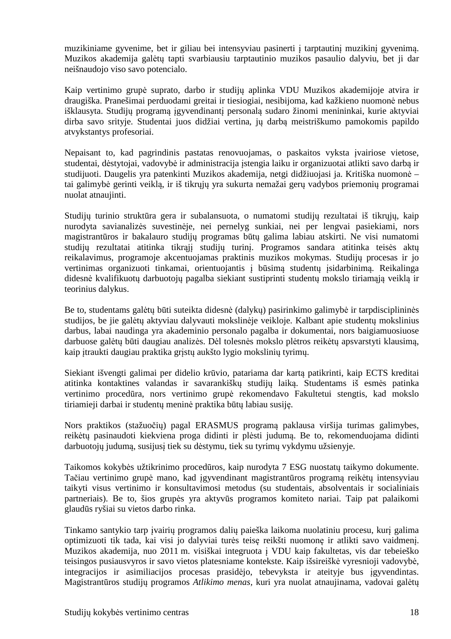muzikiniame gyvenime, bet ir giliau bei intensyviau pasinerti į tarptautinį muzikinį gyvenimą. Muzikos akademija galėtų tapti svarbiausiu tarptautinio muzikos pasaulio dalyviu, bet ji dar neišnaudojo viso savo potencialo.

Kaip vertinimo grupė suprato, darbo ir studijų aplinka VDU Muzikos akademijoje atvira ir draugiška. Pranešimai perduodami greitai ir tiesiogiai, nesibijoma, kad kažkieno nuomonė nebus išklausyta. Studijų programą įgyvendinantį personalą sudaro žinomi menininkai, kurie aktyviai dirba savo srityje. Studentai juos didžiai vertina, jų darbą meistriškumo pamokomis papildo atvykstantys profesoriai.

Nepaisant to, kad pagrindinis pastatas renovuojamas, o paskaitos vyksta įvairiose vietose, studentai, dėstytojai, vadovybė ir administracija įstengia laiku ir organizuotai atlikti savo darbą ir studijuoti. Daugelis yra patenkinti Muzikos akademija, netgi didžiuojasi ja. Kritiška nuomonė – tai galimybė gerinti veiklą, ir iš tikrųjų yra sukurta nemažai gerų vadybos priemonių programai nuolat atnaujinti.

Studijų turinio struktūra gera ir subalansuota, o numatomi studijų rezultatai iš tikrųjų, kaip nurodyta savianalizės suvestinėje, nei pernelyg sunkiai, nei per lengvai pasiekiami, nors magistrantūros ir bakalauro studijų programas būtų galima labiau atskirti. Ne visi numatomi studijų rezultatai atitinka tikrąjį studijų turinį. Programos sandara atitinka teisės aktų reikalavimus, programoje akcentuojamas praktinis muzikos mokymas. Studijų procesas ir jo vertinimas organizuoti tinkamai, orientuojantis į būsimą studentų įsidarbinimą. Reikalinga didesnė kvalifikuotų darbuotojų pagalba siekiant sustiprinti studentų mokslo tiriamaia veikla ir teorinius dalykus.

Be to, studentams galėtų būti suteikta didesnė (dalykų) pasirinkimo galimybė ir tarpdisciplininės studijos, be jie galėtų aktyviau dalyvauti mokslinėje veikloje. Kalbant apie studentų mokslinius darbus, labai naudinga yra akademinio personalo pagalba ir dokumentai, nors baigiamuosiuose darbuose galėtų būti daugiau analizės. Dėl tolesnės mokslo plėtros reikėtų apsvarstyti klausimą, kaip įtraukti daugiau praktika grįstų aukšto lygio mokslinių tyrimų.

Siekiant išvengti galimai per didelio krūvio, patariama dar kartą patikrinti, kaip ECTS kreditai atitinka kontaktines valandas ir savarankiškų studijų laiką. Studentams iš esmės patinka vertinimo procedūra, nors vertinimo grupė rekomendavo Fakultetui stengtis, kad mokslo tiriamieji darbai ir studentų meninė praktika būtų labiau susiję.

Nors praktikos (stažuočių) pagal ERASMUS programą paklausa viršija turimas galimybes, reikėtų pasinaudoti kiekviena proga didinti ir plėsti judumą. Be to, rekomenduojama didinti darbuotojų judumą, susijusį tiek su dėstymu, tiek su tyrimų vykdymu užsienyje.

Taikomos kokybės užtikrinimo procedūros, kaip nurodyta 7 ESG nuostatų taikymo dokumente. Tačiau vertinimo grupė mano, kad įgyvendinant magistrantūros programą reikėtų intensyviau taikyti visus vertinimo ir konsultavimosi metodus (su studentais, absolventais ir socialiniais partneriais). Be to, šios grupės yra aktyvūs programos komiteto nariai. Taip pat palaikomi glaudūs ryšiai su vietos darbo rinka.

Tinkamo santykio tarp įvairių programos dalių paieška laikoma nuolatiniu procesu, kurį galima optimizuoti tik tada, kai visi jo dalyviai turės teisę reikšti nuomonę ir atlikti savo vaidmenį. Muzikos akademija, nuo 2011 m. visiškai integruota į VDU kaip fakultetas, vis dar tebeieško teisingos pusiausvyros ir savo vietos platesniame kontekste. Kaip išsireiškė vyresnioji vadovybė, integracijos ir asimiliacijos procesas prasidėjo, tebevyksta ir ateityje bus įgyvendintas. Magistrantūros studijų programos *Atlikimo menas,* kuri yra nuolat atnaujinama, vadovai galėtų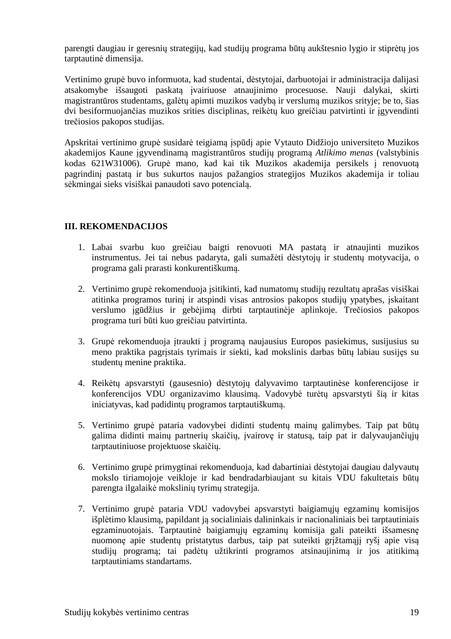parengti daugiau ir geresnių strategijų, kad studijų programa būtų aukštesnio lygio ir stiprėtų jos tarptautinė dimensija.

Vertinimo grupė buvo informuota, kad studentai, dėstytojai, darbuotojai ir administracija dalijasi atsakomybe išsaugoti paskatą įvairiuose atnaujinimo procesuose. Nauji dalykai, skirti magistrantūros studentams, galėtų apimti muzikos vadybą ir verslumą muzikos srityje; be to, šias dvi besiformuojančias muzikos srities disciplinas, reikėtų kuo greičiau patvirtinti ir įgyvendinti trečiosios pakopos studijas.

Apskritai vertinimo grupė susidarė teigiamą įspūdį apie Vytauto Didžiojo universiteto Muzikos akademijos Kaune įgyvendinamą magistrantūros studijų programą *Atlikimo menas* (valstybinis kodas 621W31006). Grupė mano, kad kai tik Muzikos akademija persikels į renovuotą pagrindinį pastatą ir bus sukurtos naujos pažangios strategijos Muzikos akademija ir toliau sėkmingai sieks visiškai panaudoti savo potencialą.

### **III. REKOMENDACIJOS**

- 1. Labai svarbu kuo greičiau baigti renovuoti MA pastatą ir atnaujinti muzikos instrumentus. Jei tai nebus padaryta, gali sumažėti dėstytojų ir studentų motyvacija, o programa gali prarasti konkurentiškumą.
- 2. Vertinimo grupė rekomenduoja įsitikinti, kad numatomų studijų rezultatų aprašas visiškai atitinka programos turinį ir atspindi visas antrosios pakopos studijų ypatybes, įskaitant verslumo įgūdžius ir gebėjimą dirbti tarptautinėje aplinkoje. Trečiosios pakopos programa turi būti kuo greičiau patvirtinta.
- 3. Grupė rekomenduoja įtraukti į programą naujausius Europos pasiekimus, susijusius su meno praktika pagrįstais tyrimais ir siekti, kad mokslinis darbas būtų labiau susijęs su studentų menine praktika.
- 4. Reikėtų apsvarstyti (gausesnio) dėstytojų dalyvavimo tarptautinėse konferencijose ir konferencijos VDU organizavimo klausimą. Vadovybė turėtų apsvarstyti šią ir kitas iniciatyvas, kad padidintų programos tarptautiškumą.
- 5. Vertinimo grupė pataria vadovybei didinti studentų mainų galimybes. Taip pat būtų galima didinti mainų partnerių skaičių, įvairovę ir statusą, taip pat ir dalyvaujančiųjų tarptautiniuose projektuose skaičių.
- 6. Vertinimo grupė primygtinai rekomenduoja, kad dabartiniai dėstytojai daugiau dalyvautų mokslo tiriamojoje veikloje ir kad bendradarbiaujant su kitais VDU fakultetais būtų parengta ilgalaikė mokslinių tyrimų strategija.
- 7. Vertinimo grupė pataria VDU vadovybei apsvarstyti baigiamųjų egzaminų komisijos išplėtimo klausimą, papildant ją socialiniais dalininkais ir nacionaliniais bei tarptautiniais egzaminuotojais. Tarptautinė baigiamųjų egzaminų komisija gali pateikti išsamesnę nuomonę apie studentų pristatytus darbus, taip pat suteikti grįžtamąjį ryšį apie visą studijų programą; tai padėtų užtikrinti programos atsinaujinimą ir jos atitikimą tarptautiniams standartams.